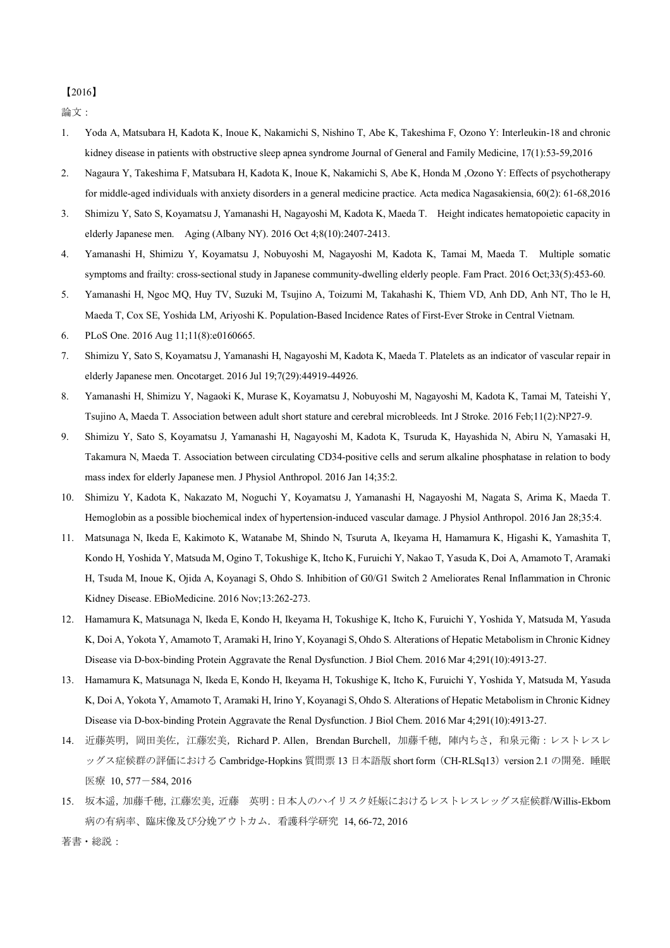## 【2016】

論文:

- 1. Yoda A, Matsubara H, Kadota K, Inoue K, Nakamichi S, Nishino T, Abe K, Takeshima F, Ozono Y: Interleukin-18 and chronic kidney disease in patients with obstructive sleep apnea syndrome Journal of General and Family Medicine, 17(1):53-59,2016
- 2. Nagaura Y, Takeshima F, Matsubara H, Kadota K, Inoue K, Nakamichi S, Abe K, Honda M ,Ozono Y: Effects of psychotherapy for middle-aged individuals with anxiety disorders in a general medicine practice. Acta medica Nagasakiensia, 60(2): 61-68,2016
- 3. Shimizu Y, Sato S, Koyamatsu J, Yamanashi H, Nagayoshi M, Kadota K, Maeda T. Height indicates hematopoietic capacity in elderly Japanese men. Aging (Albany NY). 2016 Oct 4;8(10):2407-2413.
- 4. Yamanashi H, Shimizu Y, Koyamatsu J, Nobuyoshi M, Nagayoshi M, Kadota K, Tamai M, Maeda T. Multiple somatic symptoms and frailty: cross-sectional study in Japanese community-dwelling elderly people. Fam Pract. 2016 Oct;33(5):453-60.
- 5. Yamanashi H, Ngoc MQ, Huy TV, Suzuki M, Tsujino A, Toizumi M, Takahashi K, Thiem VD, Anh DD, Anh NT, Tho le H, Maeda T, Cox SE, Yoshida LM, Ariyoshi K. Population-Based Incidence Rates of First-Ever Stroke in Central Vietnam.
- 6. PLoS One. 2016 Aug 11;11(8):e0160665.
- 7. Shimizu Y, Sato S, Koyamatsu J, Yamanashi H, Nagayoshi M, Kadota K, Maeda T. Platelets as an indicator of vascular repair in elderly Japanese men. Oncotarget. 2016 Jul 19;7(29):44919-44926.
- 8. Yamanashi H, Shimizu Y, Nagaoki K, Murase K, Koyamatsu J, Nobuyoshi M, Nagayoshi M, Kadota K, Tamai M, Tateishi Y, Tsujino A, Maeda T. Association between adult short stature and cerebral microbleeds. Int J Stroke. 2016 Feb;11(2):NP27-9.
- 9. Shimizu Y, Sato S, Koyamatsu J, Yamanashi H, Nagayoshi M, Kadota K, Tsuruda K, Hayashida N, Abiru N, Yamasaki H, Takamura N, Maeda T. Association between circulating CD34-positive cells and serum alkaline phosphatase in relation to body mass index for elderly Japanese men. J Physiol Anthropol. 2016 Jan 14;35:2.
- 10. Shimizu Y, Kadota K, Nakazato M, Noguchi Y, Koyamatsu J, Yamanashi H, Nagayoshi M, Nagata S, Arima K, Maeda T. Hemoglobin as a possible biochemical index of hypertension-induced vascular damage. J Physiol Anthropol. 2016 Jan 28;35:4.
- 11. Matsunaga N, Ikeda E, Kakimoto K, Watanabe M, Shindo N, Tsuruta A, Ikeyama H, Hamamura K, Higashi K, Yamashita T, Kondo H, Yoshida Y, Matsuda M, Ogino T, Tokushige K, Itcho K, Furuichi Y, Nakao T, Yasuda K, Doi A, Amamoto T, Aramaki H, Tsuda M, Inoue K, Ojida A, Koyanagi S, Ohdo S. Inhibition of G0/G1 Switch 2 Ameliorates Renal Inflammation in Chronic Kidney Disease. EBioMedicine. 2016 Nov;13:262-273.
- 12. Hamamura K, Matsunaga N, Ikeda E, Kondo H, Ikeyama H, Tokushige K, Itcho K, Furuichi Y, Yoshida Y, Matsuda M, Yasuda K, Doi A, Yokota Y, Amamoto T, Aramaki H, Irino Y, Koyanagi S, Ohdo S. Alterations of Hepatic Metabolism in Chronic Kidney Disease via D-box-binding Protein Aggravate the Renal Dysfunction. J Biol Chem. 2016 Mar 4;291(10):4913-27.
- 13. Hamamura K, Matsunaga N, Ikeda E, Kondo H, Ikeyama H, Tokushige K, Itcho K, Furuichi Y, Yoshida Y, Matsuda M, Yasuda K, Doi A, Yokota Y, Amamoto T, Aramaki H, Irino Y, Koyanagi S, Ohdo S. Alterations of Hepatic Metabolism in Chronic Kidney Disease via D-box-binding Protein Aggravate the Renal Dysfunction. J Biol Chem. 2016 Mar 4;291(10):4913-27.
- 14. 近藤英明, 岡田美佐, 江藤宏美, Richard P. Allen, Brendan Burchell, 加藤千穂, 陣内ちさ, 和泉元衛:レストレスレ ッグス症候群の評価における Cambridge-Hopkins 質問票 13 日本語版 short form (CH-RLSq13) version 2.1 の開発. 睡眠 医療 10, 577-584, 2016
- 15. 坂本遥,加藤千穂,江藤宏美,近藤 英明:日本人のハイリスク妊娠におけるレストレスレッグス症候群/Willis-Ekbom 病の有病率、臨床像及び分娩アウトカム.看護科学研究 14, 66-72, 2016

著書・総説: